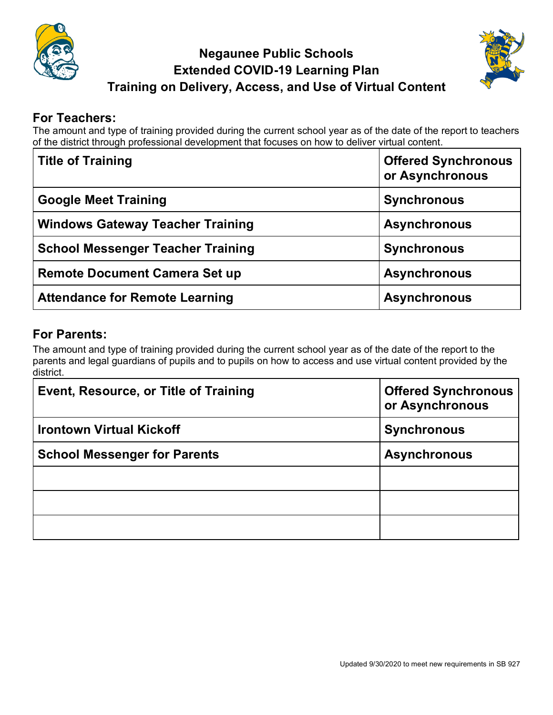

## **Negaunee Public Schools Extended COVID-19 Learning Plan Training on Delivery, Access, and Use of Virtual Content**



## **For Teachers:**

The amount and type of training provided during the current school year as of the date of the report to teachers of the district through professional development that focuses on how to deliver virtual content.

| <b>Title of Training</b>                 | <b>Offered Synchronous</b><br>or Asynchronous |
|------------------------------------------|-----------------------------------------------|
| <b>Google Meet Training</b>              | <b>Synchronous</b>                            |
| <b>Windows Gateway Teacher Training</b>  | <b>Asynchronous</b>                           |
| <b>School Messenger Teacher Training</b> | <b>Synchronous</b>                            |
| <b>Remote Document Camera Set up</b>     | <b>Asynchronous</b>                           |
| <b>Attendance for Remote Learning</b>    | <b>Asynchronous</b>                           |

## **For Parents:**

The amount and type of training provided during the current school year as of the date of the report to the parents and legal guardians of pupils and to pupils on how to access and use virtual content provided by the district.

| Event, Resource, or Title of Training | <b>Offered Synchronous</b><br>or Asynchronous |
|---------------------------------------|-----------------------------------------------|
| <b>Irontown Virtual Kickoff</b>       | <b>Synchronous</b>                            |
| <b>School Messenger for Parents</b>   | <b>Asynchronous</b>                           |
|                                       |                                               |
|                                       |                                               |
|                                       |                                               |